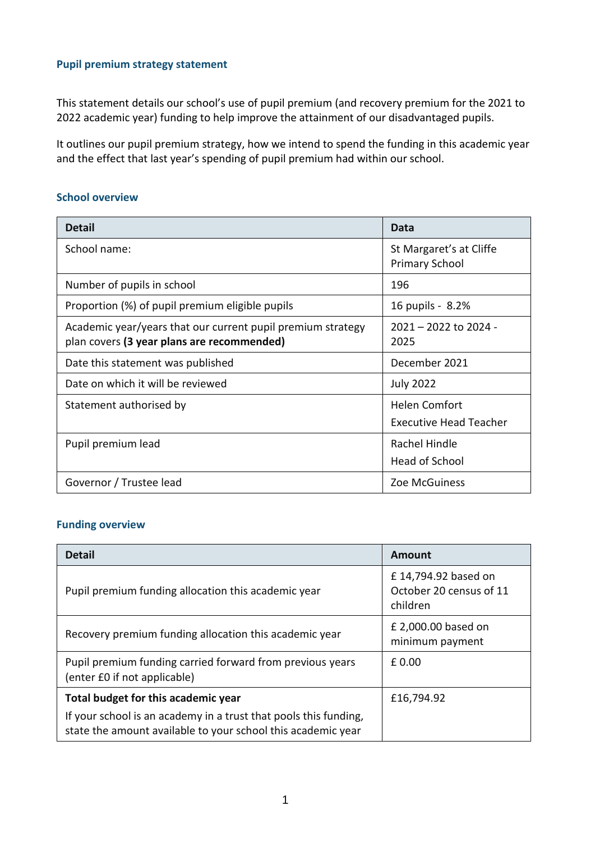## **Pupil premium strategy statement**

This statement details our school's use of pupil premium (and recovery premium for the 2021 to 2022 academic year) funding to help improve the attainment of our disadvantaged pupils.

It outlines our pupil premium strategy, how we intend to spend the funding in this academic year and the effect that last year's spending of pupil premium had within our school.

### **School overview**

| <b>Detail</b>                                                                                             | Data                                                  |
|-----------------------------------------------------------------------------------------------------------|-------------------------------------------------------|
| School name:                                                                                              | St Margaret's at Cliffe<br><b>Primary School</b>      |
| Number of pupils in school                                                                                | 196                                                   |
| Proportion (%) of pupil premium eligible pupils                                                           | 16 pupils - 8.2%                                      |
| Academic year/years that our current pupil premium strategy<br>plan covers (3 year plans are recommended) | $2021 - 2022$ to $2024 -$<br>2025                     |
| Date this statement was published                                                                         | December 2021                                         |
| Date on which it will be reviewed                                                                         | <b>July 2022</b>                                      |
| Statement authorised by                                                                                   | <b>Helen Comfort</b><br><b>Executive Head Teacher</b> |
| Pupil premium lead                                                                                        | Rachel Hindle<br><b>Head of School</b>                |
| Governor / Trustee lead                                                                                   | Zoe McGuiness                                         |

### **Funding overview**

| <b>Detail</b>                                                                                                                    | Amount                                                     |
|----------------------------------------------------------------------------------------------------------------------------------|------------------------------------------------------------|
| Pupil premium funding allocation this academic year                                                                              | £14,794.92 based on<br>October 20 census of 11<br>children |
| Recovery premium funding allocation this academic year                                                                           | £ 2,000.00 based on<br>minimum payment                     |
| Pupil premium funding carried forward from previous years<br>(enter £0 if not applicable)                                        | £0.00                                                      |
| Total budget for this academic year                                                                                              | £16,794.92                                                 |
| If your school is an academy in a trust that pools this funding,<br>state the amount available to your school this academic year |                                                            |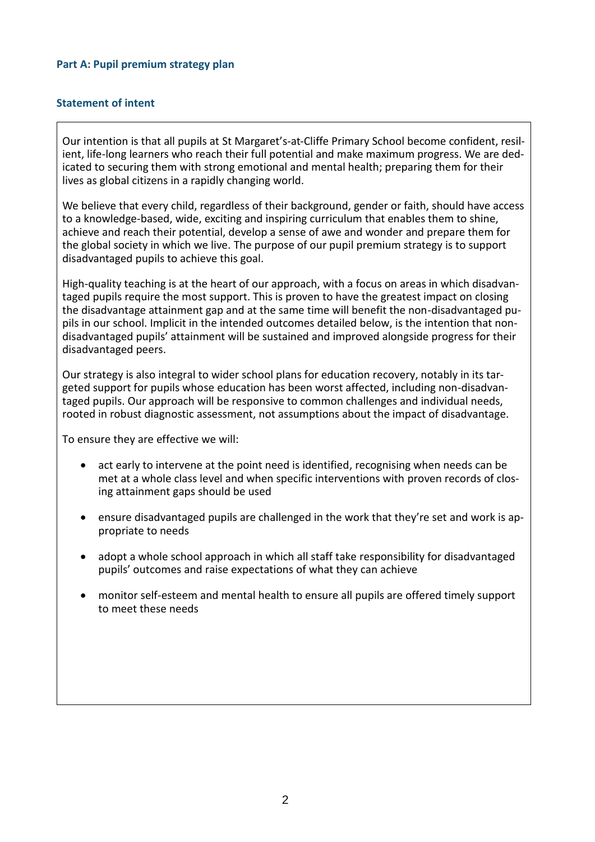### **Part A: Pupil premium strategy plan**

### **Statement of intent**

Our intention is that all pupils at St Margaret's-at-Cliffe Primary School become confident, resilient, life-long learners who reach their full potential and make maximum progress. We are dedicated to securing them with strong emotional and mental health; preparing them for their lives as global citizens in a rapidly changing world.

We believe that every child, regardless of their background, gender or faith, should have access to a knowledge-based, wide, exciting and inspiring curriculum that enables them to shine, achieve and reach their potential, develop a sense of awe and wonder and prepare them for the global society in which we live. The purpose of our pupil premium strategy is to support disadvantaged pupils to achieve this goal.

High-quality teaching is at the heart of our approach, with a focus on areas in which disadvantaged pupils require the most support. This is proven to have the greatest impact on closing the disadvantage attainment gap and at the same time will benefit the non-disadvantaged pupils in our school. Implicit in the intended outcomes detailed below, is the intention that nondisadvantaged pupils' attainment will be sustained and improved alongside progress for their disadvantaged peers.

Our strategy is also integral to wider school plans for education recovery, notably in its targeted support for pupils whose education has been worst affected, including non-disadvantaged pupils. Our approach will be responsive to common challenges and individual needs, rooted in robust diagnostic assessment, not assumptions about the impact of disadvantage.

To ensure they are effective we will:

- act early to intervene at the point need is identified, recognising when needs can be met at a whole class level and when specific interventions with proven records of closing attainment gaps should be used
- ensure disadvantaged pupils are challenged in the work that they're set and work is appropriate to needs
- adopt a whole school approach in which all staff take responsibility for disadvantaged pupils' outcomes and raise expectations of what they can achieve
- monitor self-esteem and mental health to ensure all pupils are offered timely support to meet these needs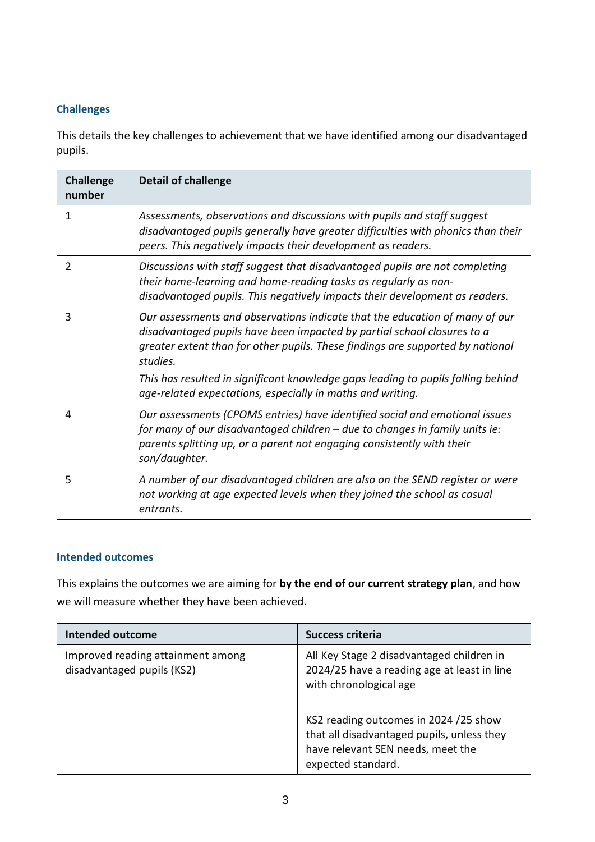# **Challenges**

This details the key challenges to achievement that we have identified among our disadvantaged pupils.

| <b>Challenge</b><br>number | <b>Detail of challenge</b>                                                                                                                                                                                                                            |
|----------------------------|-------------------------------------------------------------------------------------------------------------------------------------------------------------------------------------------------------------------------------------------------------|
| 1                          | Assessments, observations and discussions with pupils and staff suggest<br>disadvantaged pupils generally have greater difficulties with phonics than their<br>peers. This negatively impacts their development as readers.                           |
| 2                          | Discussions with staff suggest that disadvantaged pupils are not completing<br>their home-learning and home-reading tasks as regularly as non-<br>disadvantaged pupils. This negatively impacts their development as readers.                         |
| 3                          | Our assessments and observations indicate that the education of many of our<br>disadvantaged pupils have been impacted by partial school closures to a<br>greater extent than for other pupils. These findings are supported by national<br>studies.  |
|                            | This has resulted in significant knowledge gaps leading to pupils falling behind<br>age-related expectations, especially in maths and writing.                                                                                                        |
| 4                          | Our assessments (CPOMS entries) have identified social and emotional issues<br>for many of our disadvantaged children - due to changes in family units ie:<br>parents splitting up, or a parent not engaging consistently with their<br>son/daughter. |
| 5                          | A number of our disadvantaged children are also on the SEND register or were<br>not working at age expected levels when they joined the school as casual<br>entrants.                                                                                 |

## **Intended outcomes**

This explains the outcomes we are aiming for **by the end of our current strategy plan**, and how we will measure whether they have been achieved.

| <b>Intended outcome</b>                                         | <b>Success criteria</b>                                                                                                                        |
|-----------------------------------------------------------------|------------------------------------------------------------------------------------------------------------------------------------------------|
| Improved reading attainment among<br>disadvantaged pupils (KS2) | All Key Stage 2 disadvantaged children in<br>2024/25 have a reading age at least in line<br>with chronological age                             |
|                                                                 | KS2 reading outcomes in 2024 /25 show<br>that all disadvantaged pupils, unless they<br>have relevant SEN needs, meet the<br>expected standard. |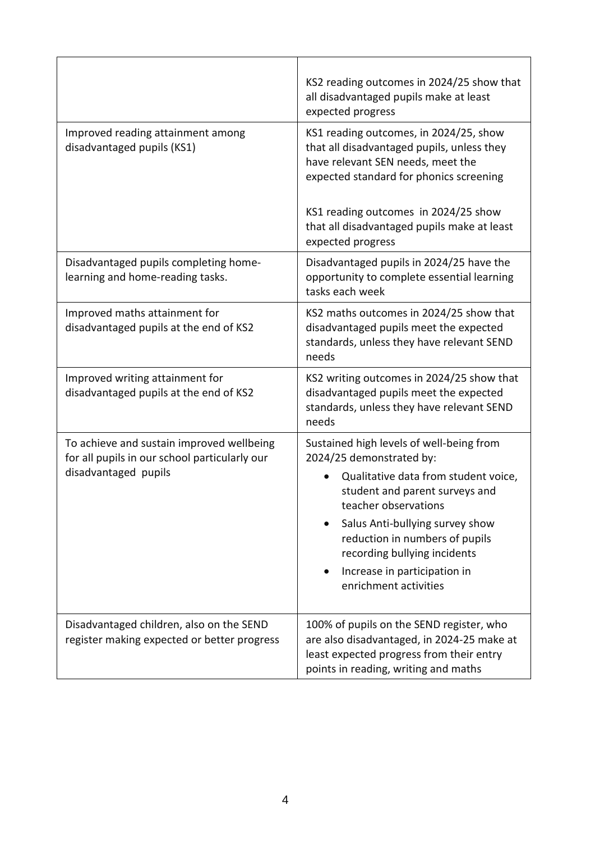|                                                                                            | KS2 reading outcomes in 2024/25 show that<br>all disadvantaged pupils make at least<br>expected progress                                                                   |  |
|--------------------------------------------------------------------------------------------|----------------------------------------------------------------------------------------------------------------------------------------------------------------------------|--|
| Improved reading attainment among<br>disadvantaged pupils (KS1)                            | KS1 reading outcomes, in 2024/25, show<br>that all disadvantaged pupils, unless they<br>have relevant SEN needs, meet the<br>expected standard for phonics screening       |  |
|                                                                                            | KS1 reading outcomes in 2024/25 show<br>that all disadvantaged pupils make at least<br>expected progress                                                                   |  |
| Disadvantaged pupils completing home-<br>learning and home-reading tasks.                  | Disadvantaged pupils in 2024/25 have the<br>opportunity to complete essential learning<br>tasks each week                                                                  |  |
| Improved maths attainment for<br>disadvantaged pupils at the end of KS2                    | KS2 maths outcomes in 2024/25 show that<br>disadvantaged pupils meet the expected<br>standards, unless they have relevant SEND<br>needs                                    |  |
| Improved writing attainment for<br>disadvantaged pupils at the end of KS2                  | KS2 writing outcomes in 2024/25 show that<br>disadvantaged pupils meet the expected<br>standards, unless they have relevant SEND<br>needs                                  |  |
| To achieve and sustain improved wellbeing<br>for all pupils in our school particularly our | Sustained high levels of well-being from<br>2024/25 demonstrated by:                                                                                                       |  |
| disadvantaged pupils                                                                       | Qualitative data from student voice,<br>student and parent surveys and<br>teacher observations                                                                             |  |
|                                                                                            | Salus Anti-bullying survey show<br>reduction in numbers of pupils<br>recording bullying incidents                                                                          |  |
|                                                                                            | Increase in participation in<br>enrichment activities                                                                                                                      |  |
| Disadvantaged children, also on the SEND<br>register making expected or better progress    | 100% of pupils on the SEND register, who<br>are also disadvantaged, in 2024-25 make at<br>least expected progress from their entry<br>points in reading, writing and maths |  |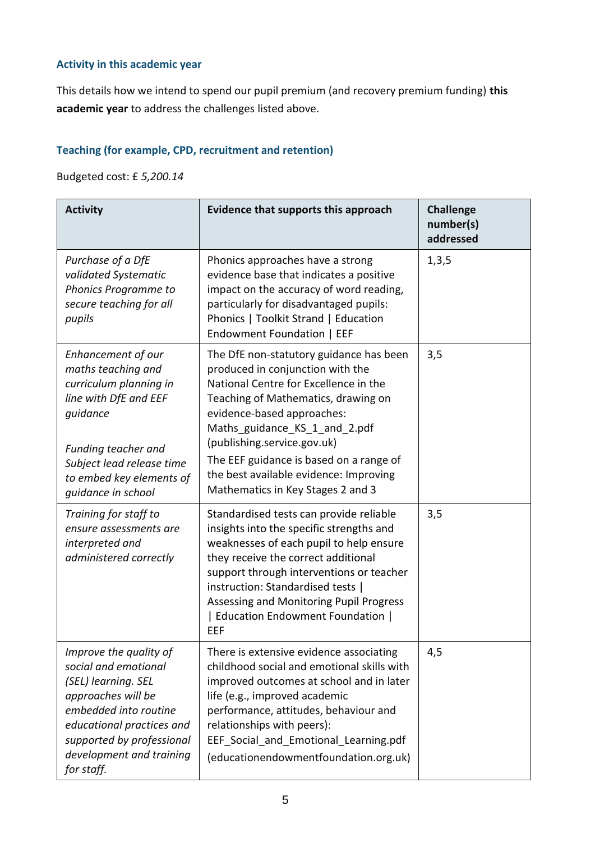# **Activity in this academic year**

This details how we intend to spend our pupil premium (and recovery premium funding) **this academic year** to address the challenges listed above.

# **Teaching (for example, CPD, recruitment and retention)**

Budgeted cost: £ *5,200.14*

| <b>Activity</b>                                                                                                                                                                                                          | Evidence that supports this approach                                                                                                                                                                                                                                                                                                                                                | <b>Challenge</b><br>number(s)<br>addressed |
|--------------------------------------------------------------------------------------------------------------------------------------------------------------------------------------------------------------------------|-------------------------------------------------------------------------------------------------------------------------------------------------------------------------------------------------------------------------------------------------------------------------------------------------------------------------------------------------------------------------------------|--------------------------------------------|
| Purchase of a DfE<br>validated Systematic<br>Phonics Programme to<br>secure teaching for all<br>pupils                                                                                                                   | Phonics approaches have a strong<br>evidence base that indicates a positive<br>impact on the accuracy of word reading,<br>particularly for disadvantaged pupils:<br>Phonics   Toolkit Strand   Education<br>Endowment Foundation   EEF                                                                                                                                              | 1,3,5                                      |
| Enhancement of our<br>maths teaching and<br>curriculum planning in<br>line with DfE and EEF<br>guidance<br>Funding teacher and<br>Subject lead release time<br>to embed key elements of<br>guidance in school            | The DfE non-statutory guidance has been<br>produced in conjunction with the<br>National Centre for Excellence in the<br>Teaching of Mathematics, drawing on<br>evidence-based approaches:<br>Maths guidance_KS_1_and_2.pdf<br>(publishing.service.gov.uk)<br>The EEF guidance is based on a range of<br>the best available evidence: Improving<br>Mathematics in Key Stages 2 and 3 | 3,5                                        |
| Training for staff to<br>ensure assessments are<br>interpreted and<br>administered correctly                                                                                                                             | Standardised tests can provide reliable<br>insights into the specific strengths and<br>weaknesses of each pupil to help ensure<br>they receive the correct additional<br>support through interventions or teacher<br>instruction: Standardised tests  <br>Assessing and Monitoring Pupil Progress<br>  Education Endowment Foundation  <br>EEF                                      | 3,5                                        |
| Improve the quality of<br>social and emotional<br>(SEL) learning. SEL<br>approaches will be<br>embedded into routine<br>educational practices and<br>supported by professional<br>development and training<br>for staff. | There is extensive evidence associating<br>childhood social and emotional skills with<br>improved outcomes at school and in later<br>life (e.g., improved academic<br>performance, attitudes, behaviour and<br>relationships with peers):<br>EEF_Social_and_Emotional_Learning.pdf<br>(educationendowmentfoundation.org.uk)                                                         | 4,5                                        |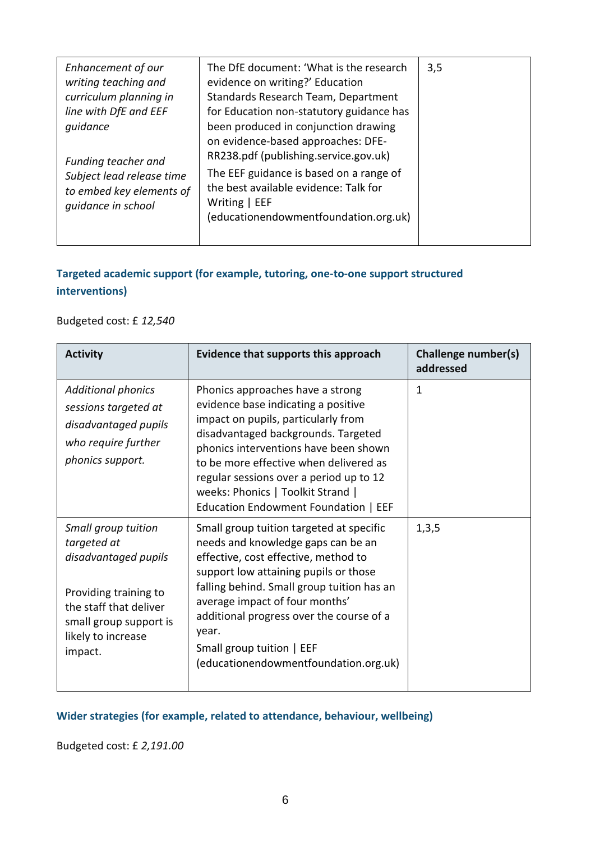| Enhancement of our<br>writing teaching and<br>curriculum planning in<br>line with DfE and EEF<br>quidance<br>Funding teacher and | The DfE document: 'What is the research<br>evidence on writing?' Education<br>Standards Research Team, Department<br>for Education non-statutory guidance has<br>been produced in conjunction drawing<br>on evidence-based approaches: DFE-<br>RR238.pdf (publishing.service.gov.uk) | 3,5 |
|----------------------------------------------------------------------------------------------------------------------------------|--------------------------------------------------------------------------------------------------------------------------------------------------------------------------------------------------------------------------------------------------------------------------------------|-----|
| Subject lead release time<br>to embed key elements of<br>quidance in school                                                      | The EEF guidance is based on a range of<br>the best available evidence: Talk for<br>Writing   EEF<br>(educationendowmentfoundation.org.uk)                                                                                                                                           |     |

# **Targeted academic support (for example, tutoring, one-to-one support structured interventions)**

# Budgeted cost: £ *12,540*

| <b>Activity</b>                                                                                                                                                          | Evidence that supports this approach                                                                                                                                                                                                                                                                                                                                       | Challenge number(s)<br>addressed |
|--------------------------------------------------------------------------------------------------------------------------------------------------------------------------|----------------------------------------------------------------------------------------------------------------------------------------------------------------------------------------------------------------------------------------------------------------------------------------------------------------------------------------------------------------------------|----------------------------------|
| <b>Additional phonics</b><br>sessions targeted at<br>disadvantaged pupils<br>who require further<br>phonics support.                                                     | Phonics approaches have a strong<br>evidence base indicating a positive<br>impact on pupils, particularly from<br>disadvantaged backgrounds. Targeted<br>phonics interventions have been shown<br>to be more effective when delivered as<br>regular sessions over a period up to 12<br>weeks: Phonics   Toolkit Strand  <br>Education Endowment Foundation   EEF           | 1                                |
| Small group tuition<br>targeted at<br>disadvantaged pupils<br>Providing training to<br>the staff that deliver<br>small group support is<br>likely to increase<br>impact. | Small group tuition targeted at specific<br>needs and knowledge gaps can be an<br>effective, cost effective, method to<br>support low attaining pupils or those<br>falling behind. Small group tuition has an<br>average impact of four months'<br>additional progress over the course of a<br>year.<br>Small group tuition   EEF<br>(educationendowmentfoundation.org.uk) | 1,3,5                            |

# **Wider strategies (for example, related to attendance, behaviour, wellbeing)**

Budgeted cost: £ *2,191.00*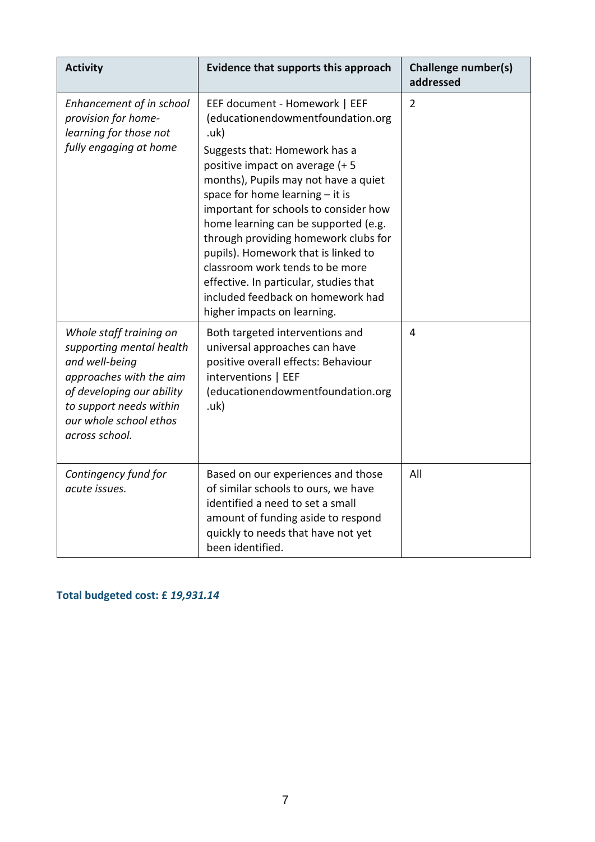| <b>Activity</b>                                                                                                                                                                                      | Evidence that supports this approach                                                                                                                                                                                                                                                                                                                                                                                                                                                                                                      | <b>Challenge number(s)</b><br>addressed |
|------------------------------------------------------------------------------------------------------------------------------------------------------------------------------------------------------|-------------------------------------------------------------------------------------------------------------------------------------------------------------------------------------------------------------------------------------------------------------------------------------------------------------------------------------------------------------------------------------------------------------------------------------------------------------------------------------------------------------------------------------------|-----------------------------------------|
| Enhancement of in school<br>provision for home-<br>learning for those not<br>fully engaging at home                                                                                                  | EEF document - Homework   EEF<br>(educationendowmentfoundation.org<br>.uk)<br>Suggests that: Homework has a<br>positive impact on average (+5<br>months), Pupils may not have a quiet<br>space for home learning - it is<br>important for schools to consider how<br>home learning can be supported (e.g.<br>through providing homework clubs for<br>pupils). Homework that is linked to<br>classroom work tends to be more<br>effective. In particular, studies that<br>included feedback on homework had<br>higher impacts on learning. | $\overline{2}$                          |
| Whole staff training on<br>supporting mental health<br>and well-being<br>approaches with the aim<br>of developing our ability<br>to support needs within<br>our whole school ethos<br>across school. | Both targeted interventions and<br>universal approaches can have<br>positive overall effects: Behaviour<br>interventions   EEF<br>(educationendowmentfoundation.org<br>.uk)                                                                                                                                                                                                                                                                                                                                                               | 4                                       |
| Contingency fund for<br>acute issues.                                                                                                                                                                | Based on our experiences and those<br>of similar schools to ours, we have<br>identified a need to set a small<br>amount of funding aside to respond<br>quickly to needs that have not yet<br>been identified.                                                                                                                                                                                                                                                                                                                             | All                                     |

**Total budgeted cost: £** *19,931.14*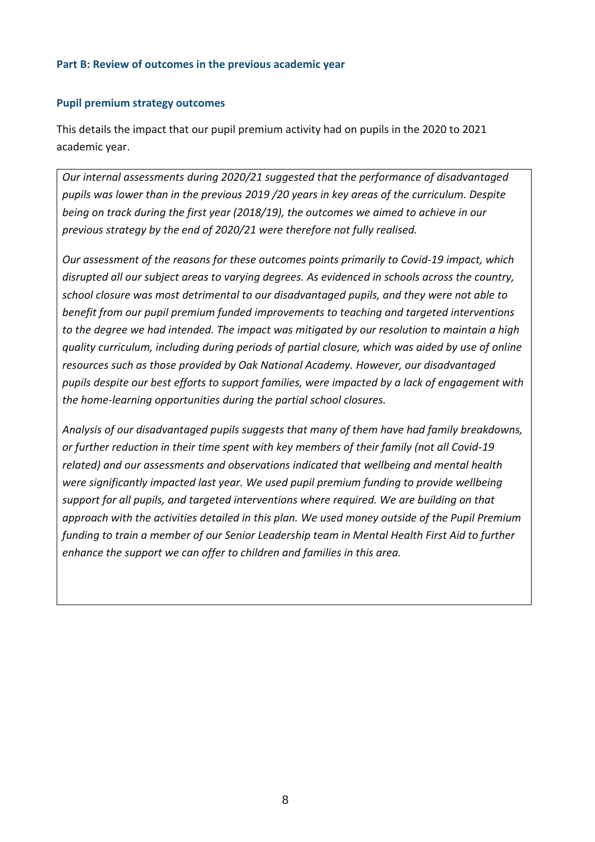### **Part B: Review of outcomes in the previous academic year**

### **Pupil premium strategy outcomes**

This details the impact that our pupil premium activity had on pupils in the 2020 to 2021 academic year.

*Our internal assessments during 2020/21 suggested that the performance of disadvantaged pupils was lower than in the previous 2019 /20 years in key areas of the curriculum. Despite being on track during the first year (2018/19), the outcomes we aimed to achieve in our previous strategy by the end of 2020/21 were therefore not fully realised.* 

*Our assessment of the reasons for these outcomes points primarily to Covid-19 impact, which disrupted all our subject areas to varying degrees. As evidenced in schools across the country, school closure was most detrimental to our disadvantaged pupils, and they were not able to benefit from our pupil premium funded improvements to teaching and targeted interventions to the degree we had intended. The impact was mitigated by our resolution to maintain a high quality curriculum, including during periods of partial closure, which was aided by use of online resources such as those provided by Oak National Academy. However, our disadvantaged pupils despite our best efforts to support families, were impacted by a lack of engagement with the home-learning opportunities during the partial school closures.* 

*Analysis of our disadvantaged pupils suggests that many of them have had family breakdowns, or further reduction in their time spent with key members of their family (not all Covid-19 related) and our assessments and observations indicated that wellbeing and mental health were significantly impacted last year. We used pupil premium funding to provide wellbeing support for all pupils, and targeted interventions where required. We are building on that approach with the activities detailed in this plan. We used money outside of the Pupil Premium funding to train a member of our Senior Leadership team in Mental Health First Aid to further enhance the support we can offer to children and families in this area.*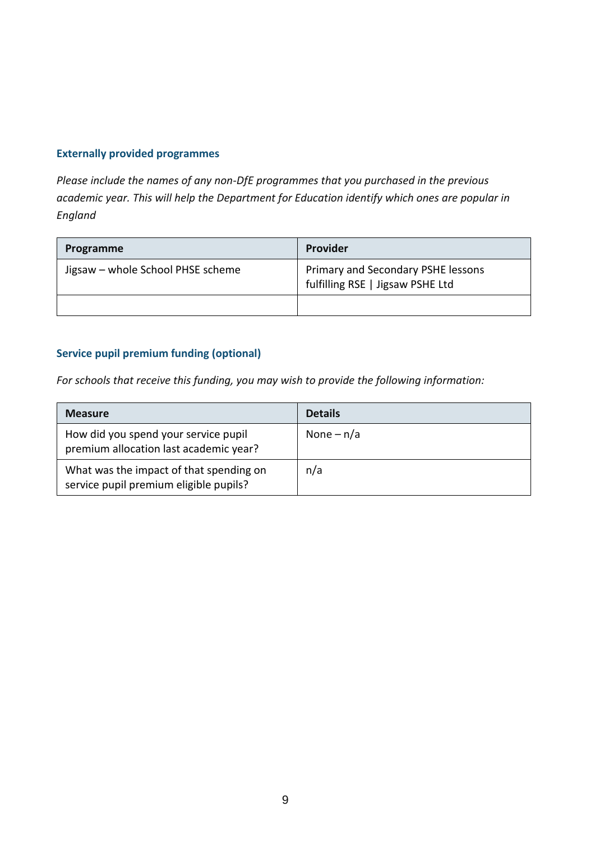# **Externally provided programmes**

*Please include the names of any non-DfE programmes that you purchased in the previous academic year. This will help the Department for Education identify which ones are popular in England*

| Programme                         | Provider                                                               |
|-----------------------------------|------------------------------------------------------------------------|
| Jigsaw - whole School PHSE scheme | Primary and Secondary PSHE lessons<br>fulfilling RSE   Jigsaw PSHE Ltd |
|                                   |                                                                        |

# **Service pupil premium funding (optional)**

*For schools that receive this funding, you may wish to provide the following information:* 

| <b>Measure</b>                                                                    | <b>Details</b> |
|-----------------------------------------------------------------------------------|----------------|
| How did you spend your service pupil<br>premium allocation last academic year?    | None $- n/a$   |
| What was the impact of that spending on<br>service pupil premium eligible pupils? | n/a            |